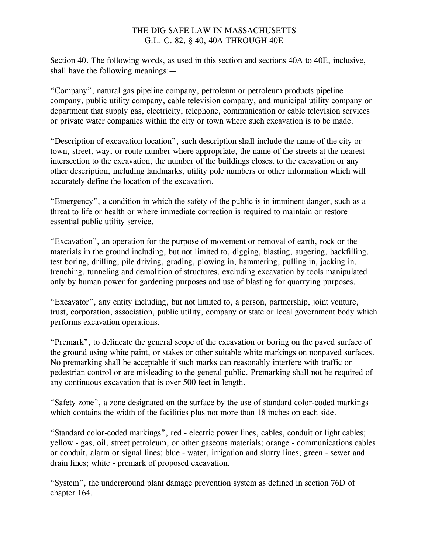Section 40. The following words, as used in this section and sections 40A to 40E, inclusive, shall have the following meanings:—

"Company", natural gas pipeline company, petroleum or petroleum products pipeline company, public utility company, cable television company, and municipal utility company or department that supply gas, electricity, telephone, communication or cable television services or private water companies within the city or town where such excavation is to be made.

"Description of excavation location", such description shall include the name of the city or town, street, way, or route number where appropriate, the name of the streets at the nearest intersection to the excavation, the number of the buildings closest to the excavation or any other description, including landmarks, utility pole numbers or other information which will accurately define the location of the excavation.

"Emergency", a condition in which the safety of the public is in imminent danger, such as a threat to life or health or where immediate correction is required to maintain or restore essential public utility service.

"Excavation", an operation for the purpose of movement or removal of earth, rock or the materials in the ground including, but not limited to, digging, blasting, augering, backfilling, test boring, drilling, pile driving, grading, plowing in, hammering, pulling in, jacking in, trenching, tunneling and demolition of structures, excluding excavation by tools manipulated only by human power for gardening purposes and use of blasting for quarrying purposes.

"Excavator", any entity including, but not limited to, a person, partnership, joint venture, trust, corporation, association, public utility, company or state or local government body which performs excavation operations.

"Premark", to delineate the general scope of the excavation or boring on the paved surface of the ground using white paint, or stakes or other suitable white markings on nonpaved surfaces. No premarking shall be acceptable if such marks can reasonably interfere with traffic or pedestrian control or are misleading to the general public. Premarking shall not be required of any continuous excavation that is over 500 feet in length.

"Safety zone", a zone designated on the surface by the use of standard color-coded markings which contains the width of the facilities plus not more than 18 inches on each side.

"Standard color-coded markings", red - electric power lines, cables, conduit or light cables; yellow - gas, oil, street petroleum, or other gaseous materials; orange - communications cables or conduit, alarm or signal lines; blue - water, irrigation and slurry lines; green - sewer and drain lines; white - premark of proposed excavation.

"System", the underground plant damage prevention system as defined in section 76D of chapter 164.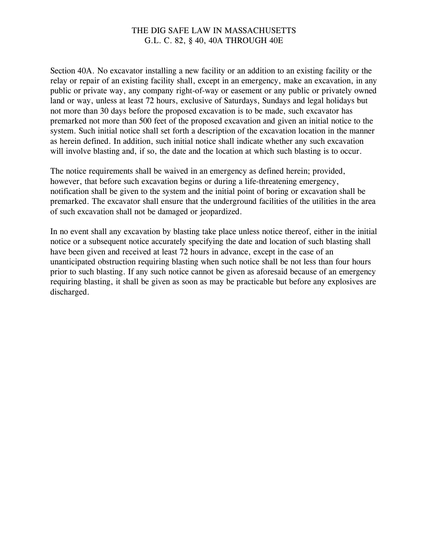Section 40A. No excavator installing a new facility or an addition to an existing facility or the relay or repair of an existing facility shall, except in an emergency, make an excavation, in any public or private way, any company right-of-way or easement or any public or privately owned land or way, unless at least 72 hours, exclusive of Saturdays, Sundays and legal holidays but not more than 30 days before the proposed excavation is to be made, such excavator has premarked not more than 500 feet of the proposed excavation and given an initial notice to the system. Such initial notice shall set forth a description of the excavation location in the manner as herein defined. In addition, such initial notice shall indicate whether any such excavation will involve blasting and, if so, the date and the location at which such blasting is to occur.

The notice requirements shall be waived in an emergency as defined herein; provided, however, that before such excavation begins or during a life-threatening emergency, notification shall be given to the system and the initial point of boring or excavation shall be premarked. The excavator shall ensure that the underground facilities of the utilities in the area of such excavation shall not be damaged or jeopardized.

In no event shall any excavation by blasting take place unless notice thereof, either in the initial notice or a subsequent notice accurately specifying the date and location of such blasting shall have been given and received at least 72 hours in advance, except in the case of an unanticipated obstruction requiring blasting when such notice shall be not less than four hours prior to such blasting. If any such notice cannot be given as aforesaid because of an emergency requiring blasting, it shall be given as soon as may be practicable but before any explosives are discharged.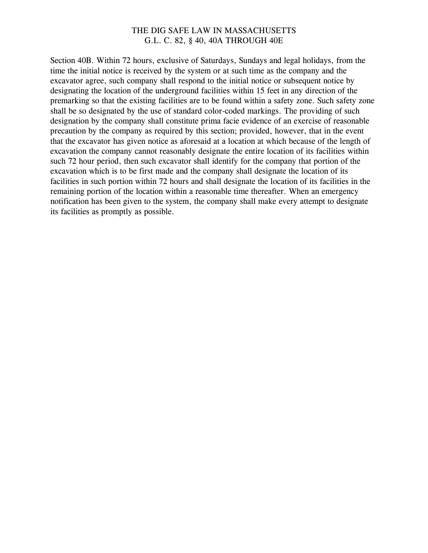Section 40B. Within 72 hours, exclusive of Saturdays, Sundays and legal holidays, from the time the initial notice is received by the system or at such time as the company and the excavator agree, such company shall respond to the initial notice or subsequent notice by designating the location of the underground facilities within 15 feet in any direction of the premarking so that the existing facilities are to be found within a safety zone. Such safety zone shall be so designated by the use of standard color-coded markings. The providing of such designation by the company shall constitute prima facie evidence of an exercise of reasonable precaution by the company as required by this section; provided, however, that in the event that the excavator has given notice as aforesaid at a location at which because of the length of excavation the company cannot reasonably designate the entire location of its facilities within such 72 hour period, then such excavator shall identify for the company that portion of the excavation which is to be first made and the company shall designate the location of its facilities in such portion within 72 hours and shall designate the location of its facilities in the remaining portion of the location within a reasonable time thereafter. When an emergency notification has been given to the system, the company shall make every attempt to designate its facilities as promptly as possible.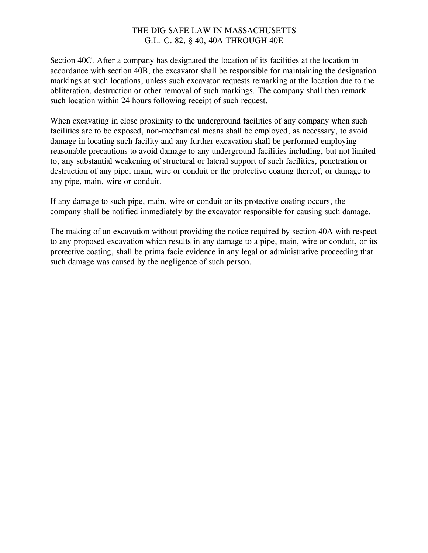Section 40C. After a company has designated the location of its facilities at the location in accordance with section 40B, the excavator shall be responsible for maintaining the designation markings at such locations, unless such excavator requests remarking at the location due to the obliteration, destruction or other removal of such markings. The company shall then remark such location within 24 hours following receipt of such request.

When excavating in close proximity to the underground facilities of any company when such facilities are to be exposed, non-mechanical means shall be employed, as necessary, to avoid damage in locating such facility and any further excavation shall be performed employing reasonable precautions to avoid damage to any underground facilities including, but not limited to, any substantial weakening of structural or lateral support of such facilities, penetration or destruction of any pipe, main, wire or conduit or the protective coating thereof, or damage to any pipe, main, wire or conduit.

If any damage to such pipe, main, wire or conduit or its protective coating occurs, the company shall be notified immediately by the excavator responsible for causing such damage.

The making of an excavation without providing the notice required by section 40A with respect to any proposed excavation which results in any damage to a pipe, main, wire or conduit, or its protective coating, shall be prima facie evidence in any legal or administrative proceeding that such damage was caused by the negligence of such person.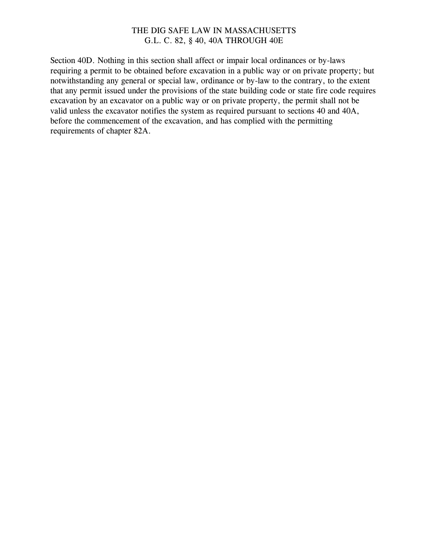Section 40D. Nothing in this section shall affect or impair local ordinances or by-laws requiring a permit to be obtained before excavation in a public way or on private property; but notwithstanding any general or special law, ordinance or by-law to the contrary, to the extent that any permit issued under the provisions of the state building code or state fire code requires excavation by an excavator on a public way or on private property, the permit shall not be valid unless the excavator notifies the system as required pursuant to sections 40 and 40A, before the commencement of the excavation, and has complied with the permitting requirements of chapter 82A.